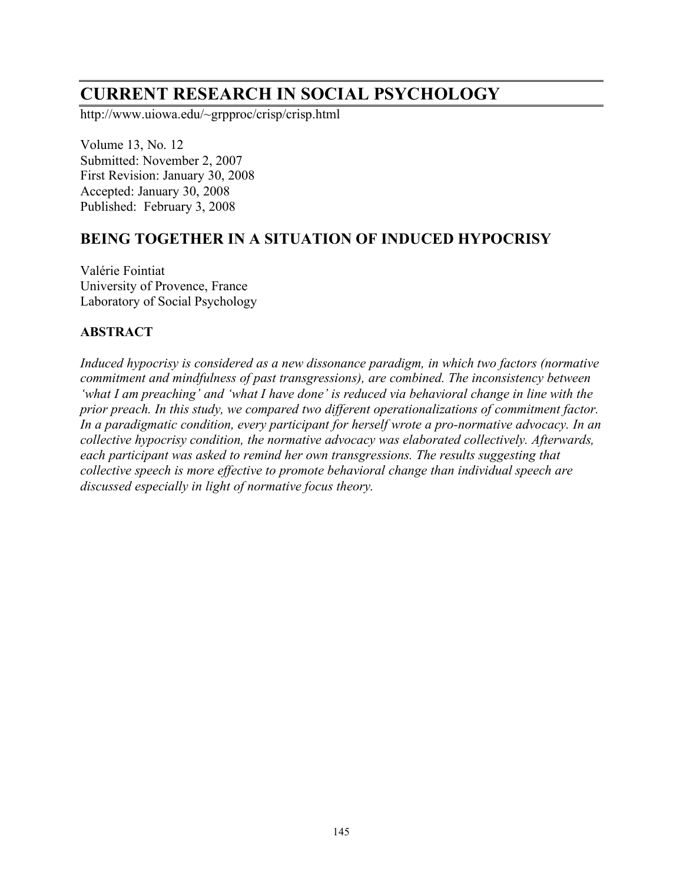# **CURRENT RESEARCH IN SOCIAL PSYCHOLOGY**

http://www.uiowa.edu/~grpproc/crisp/crisp.html

Volume 13, No. 12 Submitted: November 2, 2007 First Revision: January 30, 2008 Accepted: January 30, 2008 Published: February 3, 2008

## **BEING TOGETHER IN A SITUATION OF INDUCED HYPOCRISY**

Valérie Fointiat University of Provence, France Laboratory of Social Psychology

#### **ABSTRACT**

*Induced hypocrisy is considered as a new dissonance paradigm, in which two factors (normative commitment and mindfulness of past transgressions), are combined. The inconsistency between 'what I am preaching' and 'what I have done' is reduced via behavioral change in line with the prior preach. In this study, we compared two different operationalizations of commitment factor. In a paradigmatic condition, every participant for herself wrote a pro-normative advocacy. In an collective hypocrisy condition, the normative advocacy was elaborated collectively. Afterwards, each participant was asked to remind her own transgressions. The results suggesting that collective speech is more effective to promote behavioral change than individual speech are discussed especially in light of normative focus theory.*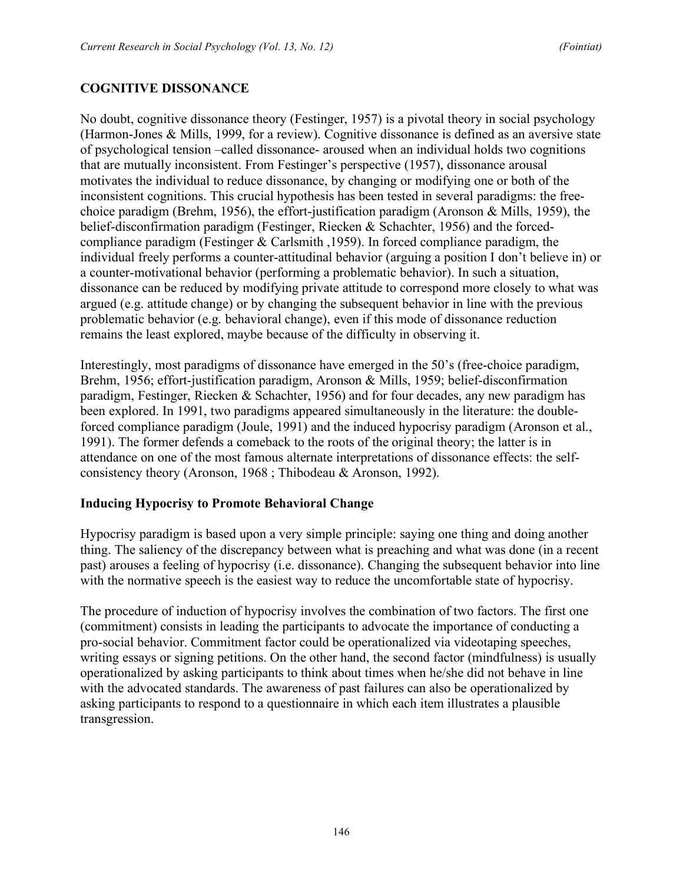## **COGNITIVE DISSONANCE**

No doubt, cognitive dissonance theory (Festinger, 1957) is a pivotal theory in social psychology (Harmon-Jones & Mills, 1999, for a review). Cognitive dissonance is defined as an aversive state of psychological tension –called dissonance- aroused when an individual holds two cognitions that are mutually inconsistent. From Festinger's perspective (1957), dissonance arousal motivates the individual to reduce dissonance, by changing or modifying one or both of the inconsistent cognitions. This crucial hypothesis has been tested in several paradigms: the freechoice paradigm (Brehm, 1956), the effort-justification paradigm (Aronson & Mills, 1959), the belief-disconfirmation paradigm (Festinger, Riecken & Schachter, 1956) and the forcedcompliance paradigm (Festinger & Carlsmith ,1959). In forced compliance paradigm, the individual freely performs a counter-attitudinal behavior (arguing a position I don't believe in) or a counter-motivational behavior (performing a problematic behavior). In such a situation, dissonance can be reduced by modifying private attitude to correspond more closely to what was argued (e.g. attitude change) or by changing the subsequent behavior in line with the previous problematic behavior (e.g. behavioral change), even if this mode of dissonance reduction remains the least explored, maybe because of the difficulty in observing it.

Interestingly, most paradigms of dissonance have emerged in the 50's (free-choice paradigm, Brehm, 1956; effort-justification paradigm, Aronson & Mills, 1959; belief-disconfirmation paradigm, Festinger, Riecken & Schachter, 1956) and for four decades, any new paradigm has been explored. In 1991, two paradigms appeared simultaneously in the literature: the doubleforced compliance paradigm (Joule, 1991) and the induced hypocrisy paradigm (Aronson et al., 1991). The former defends a comeback to the roots of the original theory; the latter is in attendance on one of the most famous alternate interpretations of dissonance effects: the selfconsistency theory (Aronson, 1968 ; Thibodeau & Aronson, 1992).

#### **Inducing Hypocrisy to Promote Behavioral Change**

Hypocrisy paradigm is based upon a very simple principle: saying one thing and doing another thing. The saliency of the discrepancy between what is preaching and what was done (in a recent past) arouses a feeling of hypocrisy (i.e. dissonance). Changing the subsequent behavior into line with the normative speech is the easiest way to reduce the uncomfortable state of hypocrisy.

The procedure of induction of hypocrisy involves the combination of two factors. The first one (commitment) consists in leading the participants to advocate the importance of conducting a pro-social behavior. Commitment factor could be operationalized via videotaping speeches, writing essays or signing petitions. On the other hand, the second factor (mindfulness) is usually operationalized by asking participants to think about times when he/she did not behave in line with the advocated standards. The awareness of past failures can also be operationalized by asking participants to respond to a questionnaire in which each item illustrates a plausible transgression.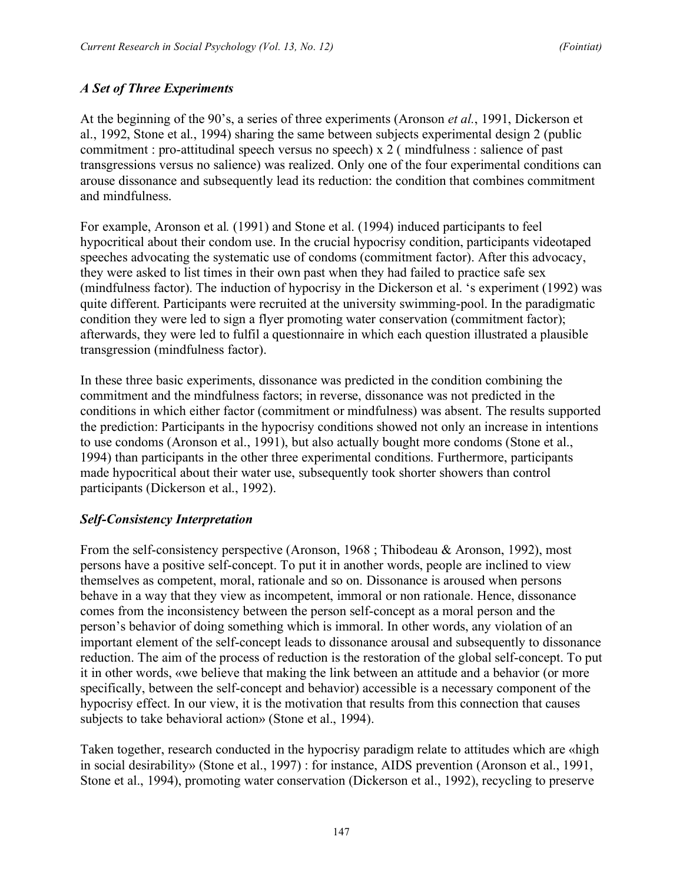## *A Set of Three Experiments*

At the beginning of the 90's, a series of three experiments (Aronson *et al.*, 1991, Dickerson et al., 1992, Stone et al., 1994) sharing the same between subjects experimental design 2 (public commitment : pro-attitudinal speech versus no speech) x 2 ( mindfulness : salience of past transgressions versus no salience) was realized. Only one of the four experimental conditions can arouse dissonance and subsequently lead its reduction: the condition that combines commitment and mindfulness.

For example, Aronson et al*.* (1991) and Stone et al. (1994) induced participants to feel hypocritical about their condom use. In the crucial hypocrisy condition, participants videotaped speeches advocating the systematic use of condoms (commitment factor). After this advocacy, they were asked to list times in their own past when they had failed to practice safe sex (mindfulness factor). The induction of hypocrisy in the Dickerson et al. 's experiment (1992) was quite different. Participants were recruited at the university swimming-pool. In the paradigmatic condition they were led to sign a flyer promoting water conservation (commitment factor); afterwards, they were led to fulfil a questionnaire in which each question illustrated a plausible transgression (mindfulness factor).

In these three basic experiments, dissonance was predicted in the condition combining the commitment and the mindfulness factors; in reverse, dissonance was not predicted in the conditions in which either factor (commitment or mindfulness) was absent. The results supported the prediction: Participants in the hypocrisy conditions showed not only an increase in intentions to use condoms (Aronson et al., 1991), but also actually bought more condoms (Stone et al., 1994) than participants in the other three experimental conditions. Furthermore, participants made hypocritical about their water use, subsequently took shorter showers than control participants (Dickerson et al., 1992).

#### *Self-Consistency Interpretation*

From the self-consistency perspective (Aronson, 1968 ; Thibodeau & Aronson, 1992), most persons have a positive self-concept. To put it in another words, people are inclined to view themselves as competent, moral, rationale and so on. Dissonance is aroused when persons behave in a way that they view as incompetent, immoral or non rationale. Hence, dissonance comes from the inconsistency between the person self-concept as a moral person and the person's behavior of doing something which is immoral. In other words, any violation of an important element of the self-concept leads to dissonance arousal and subsequently to dissonance reduction. The aim of the process of reduction is the restoration of the global self-concept. To put it in other words, «we believe that making the link between an attitude and a behavior (or more specifically, between the self-concept and behavior) accessible is a necessary component of the hypocrisy effect. In our view, it is the motivation that results from this connection that causes subjects to take behavioral action» (Stone et al., 1994).

Taken together, research conducted in the hypocrisy paradigm relate to attitudes which are «high in social desirability» (Stone et al., 1997) : for instance, AIDS prevention (Aronson et al., 1991, Stone et al., 1994), promoting water conservation (Dickerson et al., 1992), recycling to preserve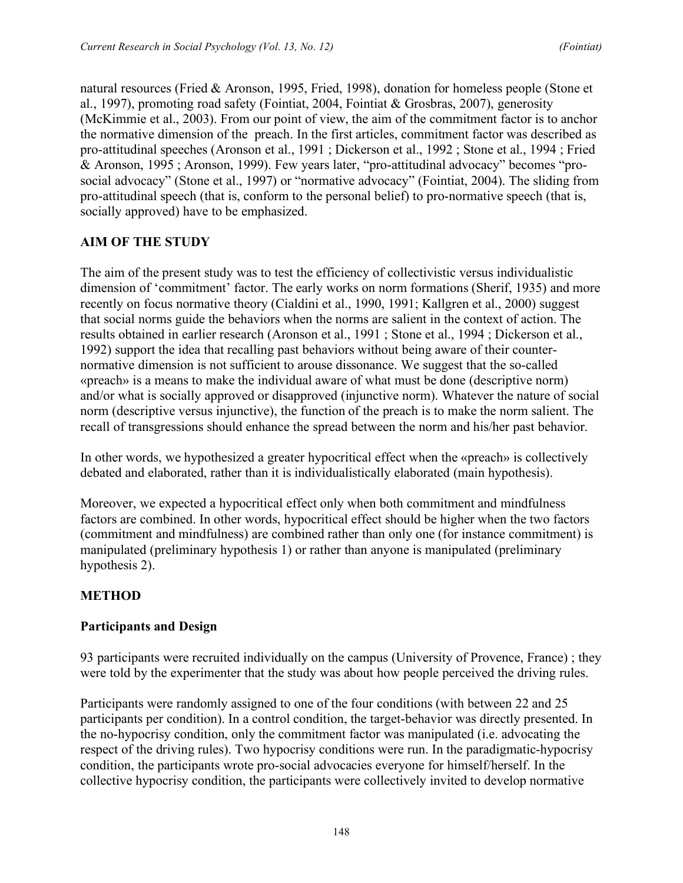natural resources (Fried & Aronson, 1995, Fried, 1998), donation for homeless people (Stone et al., 1997), promoting road safety (Fointiat, 2004, Fointiat & Grosbras, 2007), generosity (McKimmie et al., 2003). From our point of view, the aim of the commitment factor is to anchor the normative dimension of the preach. In the first articles, commitment factor was described as pro-attitudinal speeches (Aronson et al., 1991 ; Dickerson et al., 1992 ; Stone et al., 1994 ; Fried & Aronson, 1995 ; Aronson, 1999). Few years later, "pro-attitudinal advocacy" becomes "prosocial advocacy" (Stone et al., 1997) or "normative advocacy" (Fointiat, 2004). The sliding from pro-attitudinal speech (that is, conform to the personal belief) to pro-normative speech (that is, socially approved) have to be emphasized.

## **AIM OF THE STUDY**

The aim of the present study was to test the efficiency of collectivistic versus individualistic dimension of 'commitment' factor. The early works on norm formations (Sherif, 1935) and more recently on focus normative theory (Cialdini et al., 1990, 1991; Kallgren et al., 2000) suggest that social norms guide the behaviors when the norms are salient in the context of action. The results obtained in earlier research (Aronson et al., 1991 ; Stone et al., 1994 ; Dickerson et al., 1992) support the idea that recalling past behaviors without being aware of their counternormative dimension is not sufficient to arouse dissonance. We suggest that the so-called «preach» is a means to make the individual aware of what must be done (descriptive norm) and/or what is socially approved or disapproved (injunctive norm). Whatever the nature of social norm (descriptive versus injunctive), the function of the preach is to make the norm salient. The recall of transgressions should enhance the spread between the norm and his/her past behavior.

In other words, we hypothesized a greater hypocritical effect when the «preach» is collectively debated and elaborated, rather than it is individualistically elaborated (main hypothesis).

Moreover, we expected a hypocritical effect only when both commitment and mindfulness factors are combined. In other words, hypocritical effect should be higher when the two factors (commitment and mindfulness) are combined rather than only one (for instance commitment) is manipulated (preliminary hypothesis 1) or rather than anyone is manipulated (preliminary hypothesis 2).

#### **METHOD**

#### **Participants and Design**

93 participants were recruited individually on the campus (University of Provence, France) ; they were told by the experimenter that the study was about how people perceived the driving rules.

Participants were randomly assigned to one of the four conditions (with between 22 and 25 participants per condition). In a control condition, the target-behavior was directly presented. In the no-hypocrisy condition, only the commitment factor was manipulated (i.e. advocating the respect of the driving rules). Two hypocrisy conditions were run. In the paradigmatic-hypocrisy condition, the participants wrote pro-social advocacies everyone for himself/herself. In the collective hypocrisy condition, the participants were collectively invited to develop normative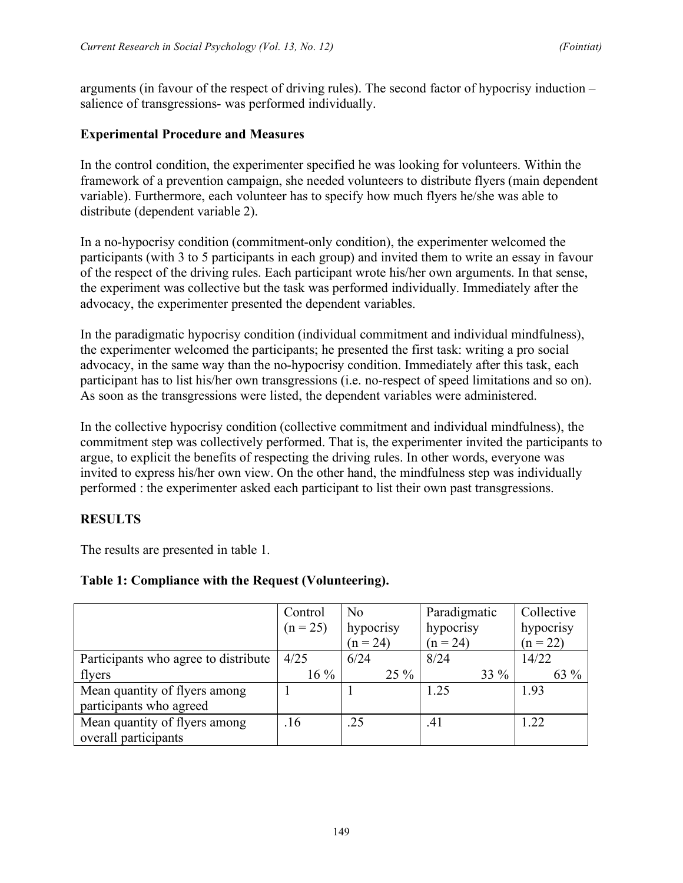arguments (in favour of the respect of driving rules). The second factor of hypocrisy induction – salience of transgressions- was performed individually.

#### **Experimental Procedure and Measures**

In the control condition, the experimenter specified he was looking for volunteers. Within the framework of a prevention campaign, she needed volunteers to distribute flyers (main dependent variable). Furthermore, each volunteer has to specify how much flyers he/she was able to distribute (dependent variable 2).

In a no-hypocrisy condition (commitment-only condition), the experimenter welcomed the participants (with 3 to 5 participants in each group) and invited them to write an essay in favour of the respect of the driving rules. Each participant wrote his/her own arguments. In that sense, the experiment was collective but the task was performed individually. Immediately after the advocacy, the experimenter presented the dependent variables.

In the paradigmatic hypocrisy condition (individual commitment and individual mindfulness), the experimenter welcomed the participants; he presented the first task: writing a pro social advocacy, in the same way than the no-hypocrisy condition. Immediately after this task, each participant has to list his/her own transgressions (i.e. no-respect of speed limitations and so on). As soon as the transgressions were listed, the dependent variables were administered.

In the collective hypocrisy condition (collective commitment and individual mindfulness), the commitment step was collectively performed. That is, the experimenter invited the participants to argue, to explicit the benefits of respecting the driving rules. In other words, everyone was invited to express his/her own view. On the other hand, the mindfulness step was individually performed : the experimenter asked each participant to list their own past transgressions.

## **RESULTS**

The results are presented in table 1.

|                                      | Control<br>$(n = 25)$ | N <sub>0</sub><br>hypocrisy<br>$(n = 24)$ | Paradigmatic<br>hypocrisy<br>$(n = 24)$ | Collective<br>hypocrisy<br>$(n = 22)$ |
|--------------------------------------|-----------------------|-------------------------------------------|-----------------------------------------|---------------------------------------|
| Participants who agree to distribute | 4/25                  | 6/24                                      | 8/24                                    | 14/22                                 |
| flyers                               | $16\%$                | $25\%$                                    | $33\%$                                  | 63 %                                  |
| Mean quantity of flyers among        |                       |                                           | 1.25                                    | 1.93                                  |
| participants who agreed              |                       |                                           |                                         |                                       |
| Mean quantity of flyers among        | .16                   | .25                                       | .41                                     | 1.22                                  |
| overall participants                 |                       |                                           |                                         |                                       |

#### **Table 1: Compliance with the Request (Volunteering).**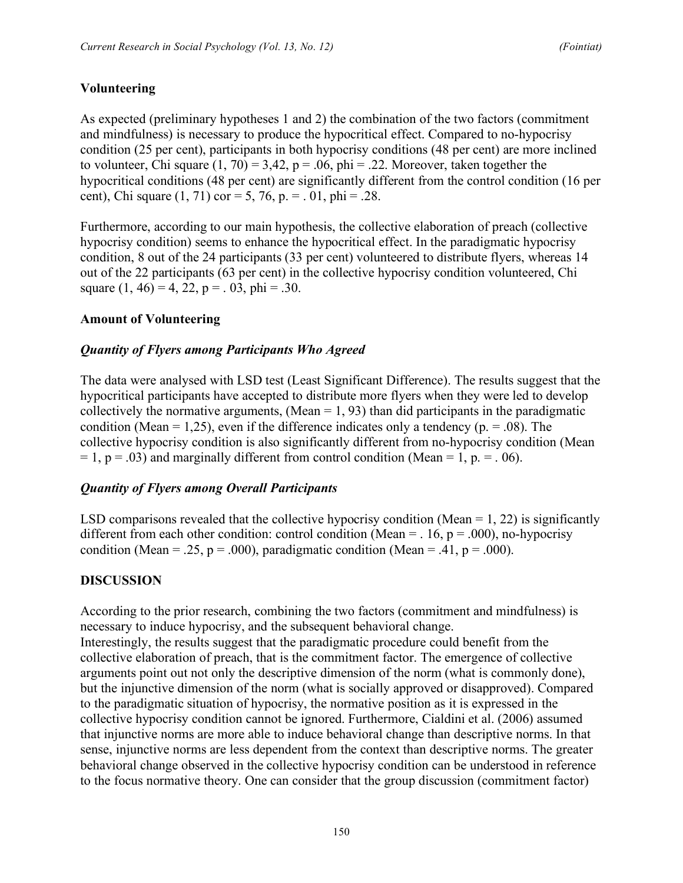## **Volunteering**

As expected (preliminary hypotheses 1 and 2) the combination of the two factors (commitment and mindfulness) is necessary to produce the hypocritical effect. Compared to no-hypocrisy condition (25 per cent), participants in both hypocrisy conditions (48 per cent) are more inclined to volunteer, Chi square  $(1, 70) = 3,42$ ,  $p = .06$ ,  $phi = .22$ . Moreover, taken together the hypocritical conditions (48 per cent) are significantly different from the control condition (16 per cent), Chi square  $(1, 71)$  cor = 5, 76, p. = . 01, phi = .28.

Furthermore, according to our main hypothesis, the collective elaboration of preach (collective hypocrisy condition) seems to enhance the hypocritical effect. In the paradigmatic hypocrisy condition, 8 out of the 24 participants (33 per cent) volunteered to distribute flyers, whereas 14 out of the 22 participants (63 per cent) in the collective hypocrisy condition volunteered, Chi square  $(1, 46) = 4, 22, p = 0.03, phi = 0.30$ .

#### **Amount of Volunteering**

#### *Quantity of Flyers among Participants Who Agreed*

The data were analysed with LSD test (Least Significant Difference). The results suggest that the hypocritical participants have accepted to distribute more flyers when they were led to develop collectively the normative arguments, (Mean  $= 1, 93$ ) than did participants in the paradigmatic condition (Mean = 1,25), even if the difference indicates only a tendency ( $p = .08$ ). The collective hypocrisy condition is also significantly different from no-hypocrisy condition (Mean  $= 1$ ,  $p = .03$ ) and marginally different from control condition (Mean  $= 1$ ,  $p = .06$ ).

#### *Quantity of Flyers among Overall Participants*

LSD comparisons revealed that the collective hypocrisy condition (Mean  $= 1, 22$ ) is significantly different from each other condition: control condition (Mean =  $.16$ , p =  $.000$ ), no-hypocrisy condition (Mean = .25,  $p = .000$ ), paradigmatic condition (Mean = .41,  $p = .000$ ).

#### **DISCUSSION**

According to the prior research, combining the two factors (commitment and mindfulness) is necessary to induce hypocrisy, and the subsequent behavioral change. Interestingly, the results suggest that the paradigmatic procedure could benefit from the collective elaboration of preach, that is the commitment factor. The emergence of collective

arguments point out not only the descriptive dimension of the norm (what is commonly done), but the injunctive dimension of the norm (what is socially approved or disapproved). Compared to the paradigmatic situation of hypocrisy, the normative position as it is expressed in the collective hypocrisy condition cannot be ignored. Furthermore, Cialdini et al. (2006) assumed that injunctive norms are more able to induce behavioral change than descriptive norms. In that sense, injunctive norms are less dependent from the context than descriptive norms. The greater behavioral change observed in the collective hypocrisy condition can be understood in reference to the focus normative theory. One can consider that the group discussion (commitment factor)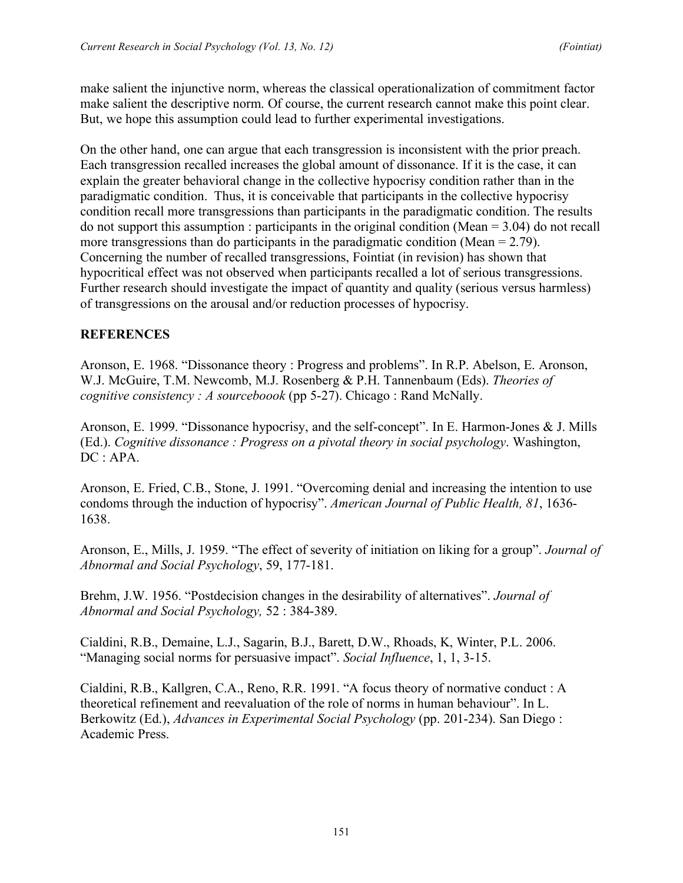make salient the injunctive norm, whereas the classical operationalization of commitment factor make salient the descriptive norm. Of course, the current research cannot make this point clear. But, we hope this assumption could lead to further experimental investigations.

On the other hand, one can argue that each transgression is inconsistent with the prior preach. Each transgression recalled increases the global amount of dissonance. If it is the case, it can explain the greater behavioral change in the collective hypocrisy condition rather than in the paradigmatic condition. Thus, it is conceivable that participants in the collective hypocrisy condition recall more transgressions than participants in the paradigmatic condition. The results do not support this assumption : participants in the original condition (Mean = 3.04) do not recall more transgressions than do participants in the paradigmatic condition (Mean = 2.79). Concerning the number of recalled transgressions, Fointiat (in revision) has shown that hypocritical effect was not observed when participants recalled a lot of serious transgressions. Further research should investigate the impact of quantity and quality (serious versus harmless) of transgressions on the arousal and/or reduction processes of hypocrisy.

## **REFERENCES**

Aronson, E. 1968. "Dissonance theory : Progress and problems". In R.P. Abelson, E. Aronson, W.J. McGuire, T.M. Newcomb, M.J. Rosenberg & P.H. Tannenbaum (Eds). *Theories of cognitive consistency : A sourceboook* (pp 5-27). Chicago : Rand McNally.

Aronson, E. 1999. "Dissonance hypocrisy, and the self-concept". In E. Harmon-Jones & J. Mills (Ed.). *Cognitive dissonance : Progress on a pivotal theory in social psychology*. Washington, DC : APA.

Aronson, E. Fried, C.B., Stone, J. 1991. "Overcoming denial and increasing the intention to use condoms through the induction of hypocrisy". *American Journal of Public Health, 81*, 1636- 1638.

Aronson, E., Mills, J. 1959. "The effect of severity of initiation on liking for a group". *Journal of Abnormal and Social Psychology*, 59, 177-181.

Brehm, J.W. 1956. "Postdecision changes in the desirability of alternatives". *Journal of Abnormal and Social Psychology,* 52 : 384-389.

Cialdini, R.B., Demaine, L.J., Sagarin, B.J., Barett, D.W., Rhoads, K, Winter, P.L. 2006. "Managing social norms for persuasive impact". *Social Influence*, 1, 1, 3-15.

Cialdini, R.B., Kallgren, C.A., Reno, R.R. 1991. "A focus theory of normative conduct : A theoretical refinement and reevaluation of the role of norms in human behaviour". In L. Berkowitz (Ed.), *Advances in Experimental Social Psychology* (pp. 201-234). San Diego : Academic Press.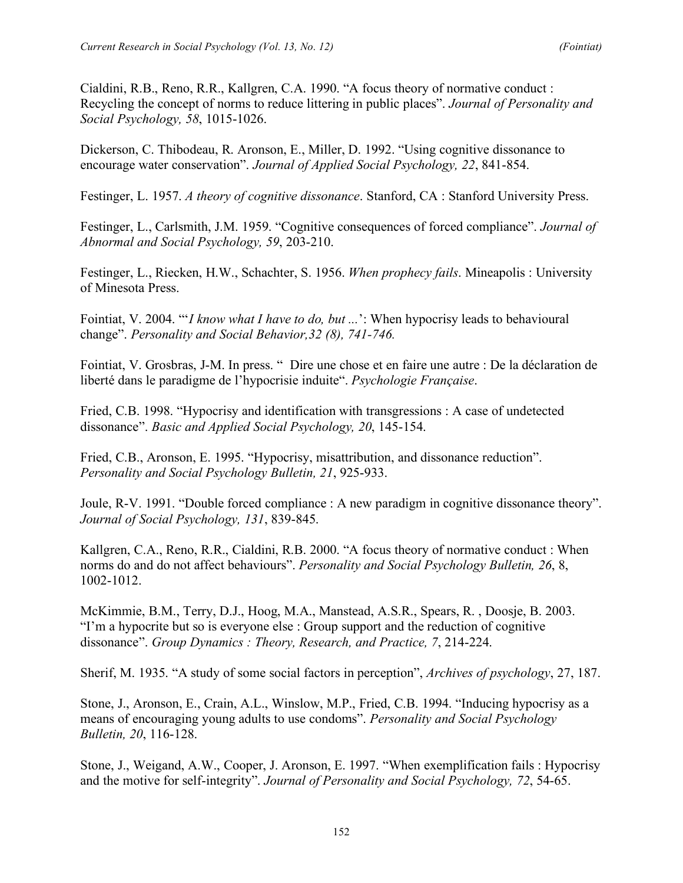Cialdini, R.B., Reno, R.R., Kallgren, C.A. 1990. "A focus theory of normative conduct : Recycling the concept of norms to reduce littering in public places". *Journal of Personality and Social Psychology, 58*, 1015-1026.

Dickerson, C. Thibodeau, R. Aronson, E., Miller, D. 1992. "Using cognitive dissonance to encourage water conservation". *Journal of Applied Social Psychology, 22*, 841-854.

Festinger, L. 1957. *A theory of cognitive dissonance*. Stanford, CA : Stanford University Press.

Festinger, L., Carlsmith, J.M. 1959. "Cognitive consequences of forced compliance". *Journal of Abnormal and Social Psychology, 59*, 203-210.

Festinger, L., Riecken, H.W., Schachter, S. 1956. *When prophecy fails*. Mineapolis : University of Minesota Press.

Fointiat, V. 2004. "'*I know what I have to do, but ...*': When hypocrisy leads to behavioural change". *Personality and Social Behavior,32 (8), 741-746.*

Fointiat, V. Grosbras, J-M. In press. " Dire une chose et en faire une autre : De la déclaration de liberté dans le paradigme de l'hypocrisie induite". *Psychologie Française*.

Fried, C.B. 1998. "Hypocrisy and identification with transgressions : A case of undetected dissonance". *Basic and Applied Social Psychology, 20*, 145-154.

Fried, C.B., Aronson, E. 1995. "Hypocrisy, misattribution, and dissonance reduction". *Personality and Social Psychology Bulletin, 21*, 925-933.

Joule, R-V. 1991. "Double forced compliance : A new paradigm in cognitive dissonance theory". *Journal of Social Psychology, 131*, 839-845.

Kallgren, C.A., Reno, R.R., Cialdini, R.B. 2000. "A focus theory of normative conduct : When norms do and do not affect behaviours". *Personality and Social Psychology Bulletin, 26*, 8, 1002-1012.

McKimmie, B.M., Terry, D.J., Hoog, M.A., Manstead, A.S.R., Spears, R. , Doosje, B. 2003. "I'm a hypocrite but so is everyone else : Group support and the reduction of cognitive dissonance". *Group Dynamics : Theory, Research, and Practice, 7*, 214-224.

Sherif, M. 1935. "A study of some social factors in perception", *Archives of psychology*, 27, 187.

Stone, J., Aronson, E., Crain, A.L., Winslow, M.P., Fried, C.B. 1994. "Inducing hypocrisy as a means of encouraging young adults to use condoms". *Personality and Social Psychology Bulletin, 20*, 116-128.

Stone, J., Weigand, A.W., Cooper, J. Aronson, E. 1997. "When exemplification fails : Hypocrisy and the motive for self-integrity". *Journal of Personality and Social Psychology, 72*, 54-65.